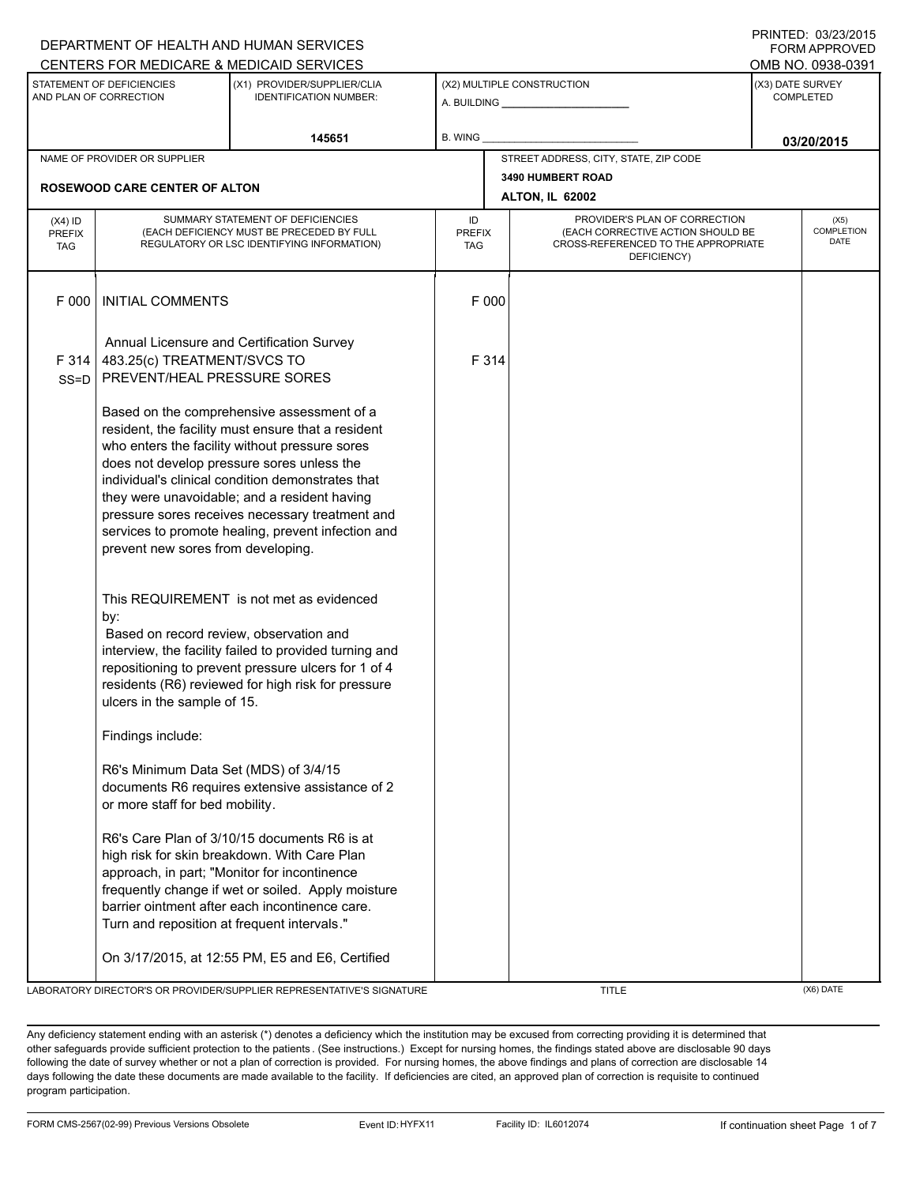|                                                                                                                                                                                                                                                                                                                                                                                           |                                                                                                                                                                                                                                                                                                                                                                                                                                                      | DEPARTMENT OF HEALTH AND HUMAN SERVICES                                                                                                                                                                         |                                                              |  |                                                                                         | <b>FORM APPROVED</b> |  |  |
|-------------------------------------------------------------------------------------------------------------------------------------------------------------------------------------------------------------------------------------------------------------------------------------------------------------------------------------------------------------------------------------------|------------------------------------------------------------------------------------------------------------------------------------------------------------------------------------------------------------------------------------------------------------------------------------------------------------------------------------------------------------------------------------------------------------------------------------------------------|-----------------------------------------------------------------------------------------------------------------------------------------------------------------------------------------------------------------|--------------------------------------------------------------|--|-----------------------------------------------------------------------------------------|----------------------|--|--|
|                                                                                                                                                                                                                                                                                                                                                                                           |                                                                                                                                                                                                                                                                                                                                                                                                                                                      | CENTERS FOR MEDICARE & MEDICAID SERVICES                                                                                                                                                                        |                                                              |  |                                                                                         | OMB NO. 0938-0391    |  |  |
|                                                                                                                                                                                                                                                                                                                                                                                           | STATEMENT OF DEFICIENCIES<br>AND PLAN OF CORRECTION                                                                                                                                                                                                                                                                                                                                                                                                  | (X1) PROVIDER/SUPPLIER/CLIA<br><b>IDENTIFICATION NUMBER:</b>                                                                                                                                                    | (X2) MULTIPLE CONSTRUCTION<br>A. BUILDING <b>A.</b> BUILDING |  | (X3) DATE SURVEY<br><b>COMPLETED</b>                                                    |                      |  |  |
|                                                                                                                                                                                                                                                                                                                                                                                           |                                                                                                                                                                                                                                                                                                                                                                                                                                                      | 145651                                                                                                                                                                                                          | B. WING                                                      |  |                                                                                         | 03/20/2015           |  |  |
| NAME OF PROVIDER OR SUPPLIER                                                                                                                                                                                                                                                                                                                                                              |                                                                                                                                                                                                                                                                                                                                                                                                                                                      |                                                                                                                                                                                                                 |                                                              |  | STREET ADDRESS, CITY, STATE, ZIP CODE                                                   |                      |  |  |
|                                                                                                                                                                                                                                                                                                                                                                                           | <b>ROSEWOOD CARE CENTER OF ALTON</b>                                                                                                                                                                                                                                                                                                                                                                                                                 |                                                                                                                                                                                                                 |                                                              |  | 3490 HUMBERT ROAD<br><b>ALTON, IL 62002</b>                                             |                      |  |  |
| $(X4)$ ID                                                                                                                                                                                                                                                                                                                                                                                 | SUMMARY STATEMENT OF DEFICIENCIES                                                                                                                                                                                                                                                                                                                                                                                                                    |                                                                                                                                                                                                                 | ID                                                           |  | PROVIDER'S PLAN OF CORRECTION                                                           | (X5)                 |  |  |
| <b>PREFIX</b><br><b>TAG</b>                                                                                                                                                                                                                                                                                                                                                               | (EACH DEFICIENCY MUST BE PRECEDED BY FULL<br>REGULATORY OR LSC IDENTIFYING INFORMATION)                                                                                                                                                                                                                                                                                                                                                              |                                                                                                                                                                                                                 | <b>PREFIX</b><br><b>TAG</b>                                  |  | (EACH CORRECTIVE ACTION SHOULD BE<br>CROSS-REFERENCED TO THE APPROPRIATE<br>DEFICIENCY) | COMPLETION<br>DATE   |  |  |
| F 000                                                                                                                                                                                                                                                                                                                                                                                     | <b>INITIAL COMMENTS</b>                                                                                                                                                                                                                                                                                                                                                                                                                              |                                                                                                                                                                                                                 | F 000                                                        |  |                                                                                         |                      |  |  |
| F 314<br>$SS = D$                                                                                                                                                                                                                                                                                                                                                                         | 483.25(c) TREATMENT/SVCS TO<br>PREVENT/HEAL PRESSURE SORES                                                                                                                                                                                                                                                                                                                                                                                           | Annual Licensure and Certification Survey                                                                                                                                                                       | F 314                                                        |  |                                                                                         |                      |  |  |
|                                                                                                                                                                                                                                                                                                                                                                                           | Based on the comprehensive assessment of a<br>resident, the facility must ensure that a resident<br>who enters the facility without pressure sores<br>does not develop pressure sores unless the<br>individual's clinical condition demonstrates that<br>they were unavoidable; and a resident having<br>pressure sores receives necessary treatment and<br>services to promote healing, prevent infection and<br>prevent new sores from developing. |                                                                                                                                                                                                                 |                                                              |  |                                                                                         |                      |  |  |
|                                                                                                                                                                                                                                                                                                                                                                                           | by:<br>Based on record review, observation and<br>ulcers in the sample of 15.                                                                                                                                                                                                                                                                                                                                                                        | This REQUIREMENT is not met as evidenced<br>interview, the facility failed to provided turning and<br>repositioning to prevent pressure ulcers for 1 of 4<br>residents (R6) reviewed for high risk for pressure |                                                              |  |                                                                                         |                      |  |  |
|                                                                                                                                                                                                                                                                                                                                                                                           | Findings include:<br>R6's Minimum Data Set (MDS) of 3/4/15<br>documents R6 requires extensive assistance of 2                                                                                                                                                                                                                                                                                                                                        |                                                                                                                                                                                                                 |                                                              |  |                                                                                         |                      |  |  |
| or more staff for bed mobility.<br>R6's Care Plan of 3/10/15 documents R6 is at<br>high risk for skin breakdown. With Care Plan<br>approach, in part; "Monitor for incontinence<br>frequently change if wet or soiled. Apply moisture<br>barrier ointment after each incontinence care.<br>Turn and reposition at frequent intervals."<br>On 3/17/2015, at 12:55 PM, E5 and E6, Certified |                                                                                                                                                                                                                                                                                                                                                                                                                                                      |                                                                                                                                                                                                                 |                                                              |  |                                                                                         |                      |  |  |
|                                                                                                                                                                                                                                                                                                                                                                                           |                                                                                                                                                                                                                                                                                                                                                                                                                                                      | LABORATORY DIRECTOR'S OR PROVIDER/SUPPLIER REPRESENTATIVE'S SIGNATURE                                                                                                                                           |                                                              |  | <b>TITLE</b>                                                                            | (X6) DATE            |  |  |

Any deficiency statement ending with an asterisk (\*) denotes a deficiency which the institution may be excused from correcting providing it is determined that other safeguards provide sufficient protection to the patients . (See instructions.) Except for nursing homes, the findings stated above are disclosable 90 days following the date of survey whether or not a plan of correction is provided. For nursing homes, the above findings and plans of correction are disclosable 14 days following the date these documents are made available to the facility. If deficiencies are cited, an approved plan of correction is requisite to continued program participation.

## PRINTED: 03/23/2015 FORM APPROVED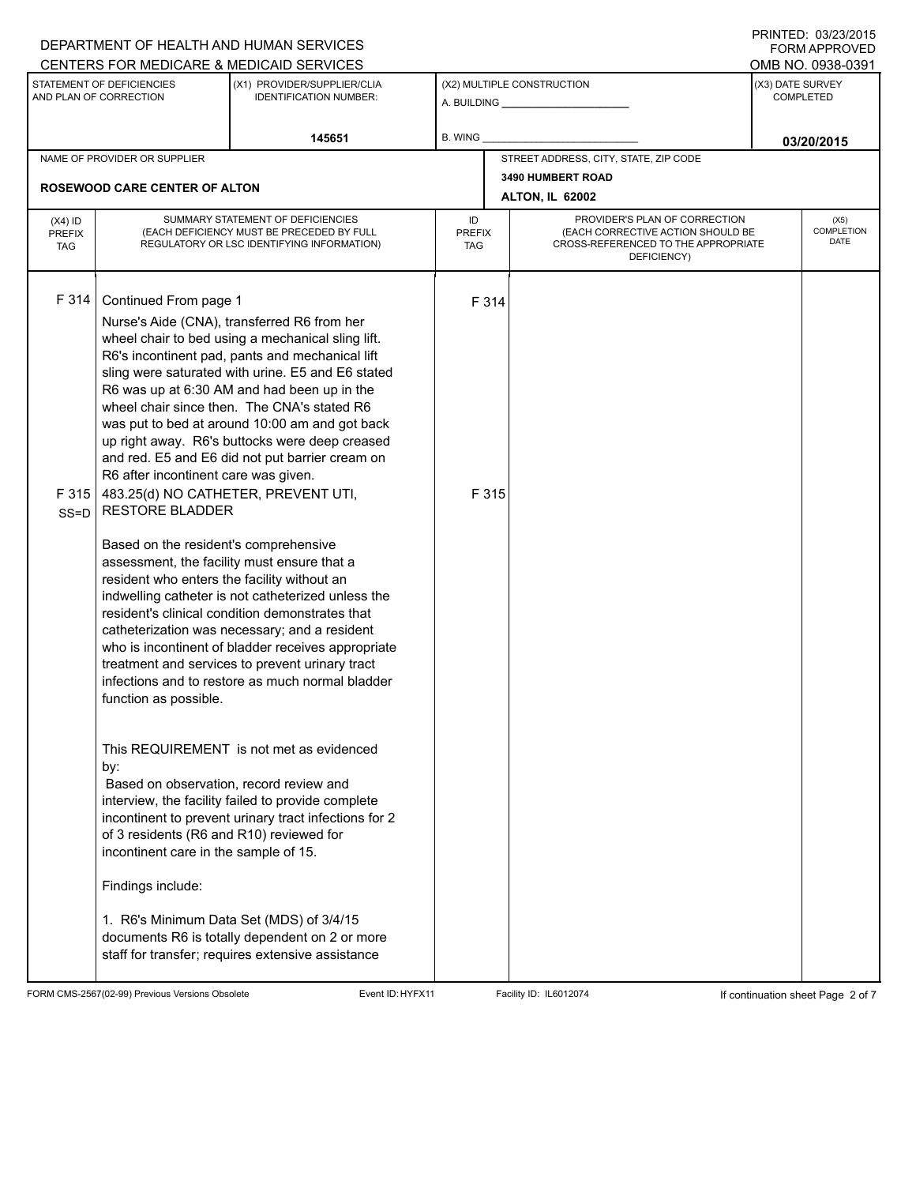|                                          |                                                                                                                                                                                                                                                                                                                                                                                                                                                            | DEPARTMENT OF HEALTH AND HUMAN SERVICES                                                                                                                                                                                                                                                                                                                                                                                                                                                                                                                                                                                                                                                                                                                                                                                                                                                                                                         |                |                |                                                                                                                          |                                      | 11111111122.00212013<br><b>FORM APPROVED</b> |  |
|------------------------------------------|------------------------------------------------------------------------------------------------------------------------------------------------------------------------------------------------------------------------------------------------------------------------------------------------------------------------------------------------------------------------------------------------------------------------------------------------------------|-------------------------------------------------------------------------------------------------------------------------------------------------------------------------------------------------------------------------------------------------------------------------------------------------------------------------------------------------------------------------------------------------------------------------------------------------------------------------------------------------------------------------------------------------------------------------------------------------------------------------------------------------------------------------------------------------------------------------------------------------------------------------------------------------------------------------------------------------------------------------------------------------------------------------------------------------|----------------|----------------|--------------------------------------------------------------------------------------------------------------------------|--------------------------------------|----------------------------------------------|--|
|                                          |                                                                                                                                                                                                                                                                                                                                                                                                                                                            | CENTERS FOR MEDICARE & MEDICAID SERVICES                                                                                                                                                                                                                                                                                                                                                                                                                                                                                                                                                                                                                                                                                                                                                                                                                                                                                                        |                |                |                                                                                                                          |                                      | OMB NO. 0938-0391                            |  |
|                                          | STATEMENT OF DEFICIENCIES<br>AND PLAN OF CORRECTION                                                                                                                                                                                                                                                                                                                                                                                                        | (X1) PROVIDER/SUPPLIER/CLIA<br><b>IDENTIFICATION NUMBER:</b>                                                                                                                                                                                                                                                                                                                                                                                                                                                                                                                                                                                                                                                                                                                                                                                                                                                                                    |                |                | (X2) MULTIPLE CONSTRUCTION                                                                                               | (X3) DATE SURVEY<br><b>COMPLETED</b> |                                              |  |
|                                          |                                                                                                                                                                                                                                                                                                                                                                                                                                                            | 145651                                                                                                                                                                                                                                                                                                                                                                                                                                                                                                                                                                                                                                                                                                                                                                                                                                                                                                                                          | <b>B. WING</b> |                |                                                                                                                          |                                      | 03/20/2015                                   |  |
|                                          | NAME OF PROVIDER OR SUPPLIER                                                                                                                                                                                                                                                                                                                                                                                                                               |                                                                                                                                                                                                                                                                                                                                                                                                                                                                                                                                                                                                                                                                                                                                                                                                                                                                                                                                                 |                |                | STREET ADDRESS, CITY, STATE, ZIP CODE                                                                                    |                                      |                                              |  |
|                                          | <b>ROSEWOOD CARE CENTER OF ALTON</b>                                                                                                                                                                                                                                                                                                                                                                                                                       |                                                                                                                                                                                                                                                                                                                                                                                                                                                                                                                                                                                                                                                                                                                                                                                                                                                                                                                                                 |                |                | 3490 HUMBERT ROAD                                                                                                        |                                      |                                              |  |
|                                          |                                                                                                                                                                                                                                                                                                                                                                                                                                                            |                                                                                                                                                                                                                                                                                                                                                                                                                                                                                                                                                                                                                                                                                                                                                                                                                                                                                                                                                 |                |                | <b>ALTON, IL 62002</b>                                                                                                   |                                      |                                              |  |
| $(X4)$ ID<br><b>PREFIX</b><br><b>TAG</b> | SUMMARY STATEMENT OF DEFICIENCIES<br>(EACH DEFICIENCY MUST BE PRECEDED BY FULL<br>REGULATORY OR LSC IDENTIFYING INFORMATION)                                                                                                                                                                                                                                                                                                                               |                                                                                                                                                                                                                                                                                                                                                                                                                                                                                                                                                                                                                                                                                                                                                                                                                                                                                                                                                 |                | <b>PREFIX</b>  | PROVIDER'S PLAN OF CORRECTION<br>(EACH CORRECTIVE ACTION SHOULD BE<br>CROSS-REFERENCED TO THE APPROPRIATE<br>DEFICIENCY) |                                      | (X5)<br><b>COMPLETION</b><br>DATE            |  |
| F 314<br>F315<br>$SS = D$                | Continued From page 1<br>R6 after incontinent care was given.<br>483.25(d) NO CATHETER, PREVENT UTI,<br><b>RESTORE BLADDER</b><br>Based on the resident's comprehensive<br>assessment, the facility must ensure that a<br>resident who enters the facility without an<br>function as possible.<br>by:<br>Based on observation, record review and<br>of 3 residents (R6 and R10) reviewed for<br>incontinent care in the sample of 15.<br>Findings include: | Nurse's Aide (CNA), transferred R6 from her<br>wheel chair to bed using a mechanical sling lift.<br>R6's incontinent pad, pants and mechanical lift<br>sling were saturated with urine. E5 and E6 stated<br>R6 was up at 6:30 AM and had been up in the<br>wheel chair since then. The CNA's stated R6<br>was put to bed at around 10:00 am and got back<br>up right away. R6's buttocks were deep creased<br>and red. E5 and E6 did not put barrier cream on<br>indwelling catheter is not catheterized unless the<br>resident's clinical condition demonstrates that<br>catheterization was necessary; and a resident<br>who is incontinent of bladder receives appropriate<br>treatment and services to prevent urinary tract<br>infections and to restore as much normal bladder<br>This REQUIREMENT is not met as evidenced<br>interview, the facility failed to provide complete<br>incontinent to prevent urinary tract infections for 2 |                | F 314<br>F 315 |                                                                                                                          |                                      |                                              |  |
|                                          |                                                                                                                                                                                                                                                                                                                                                                                                                                                            | 1. R6's Minimum Data Set (MDS) of 3/4/15<br>documents R6 is totally dependent on 2 or more<br>staff for transfer; requires extensive assistance                                                                                                                                                                                                                                                                                                                                                                                                                                                                                                                                                                                                                                                                                                                                                                                                 |                |                |                                                                                                                          |                                      |                                              |  |

FORM CMS-2567(02-99) Previous Versions Obsolete Event ID:HYFX11 Facility ID: IL6012074 If continuation sheet Page 2 of 7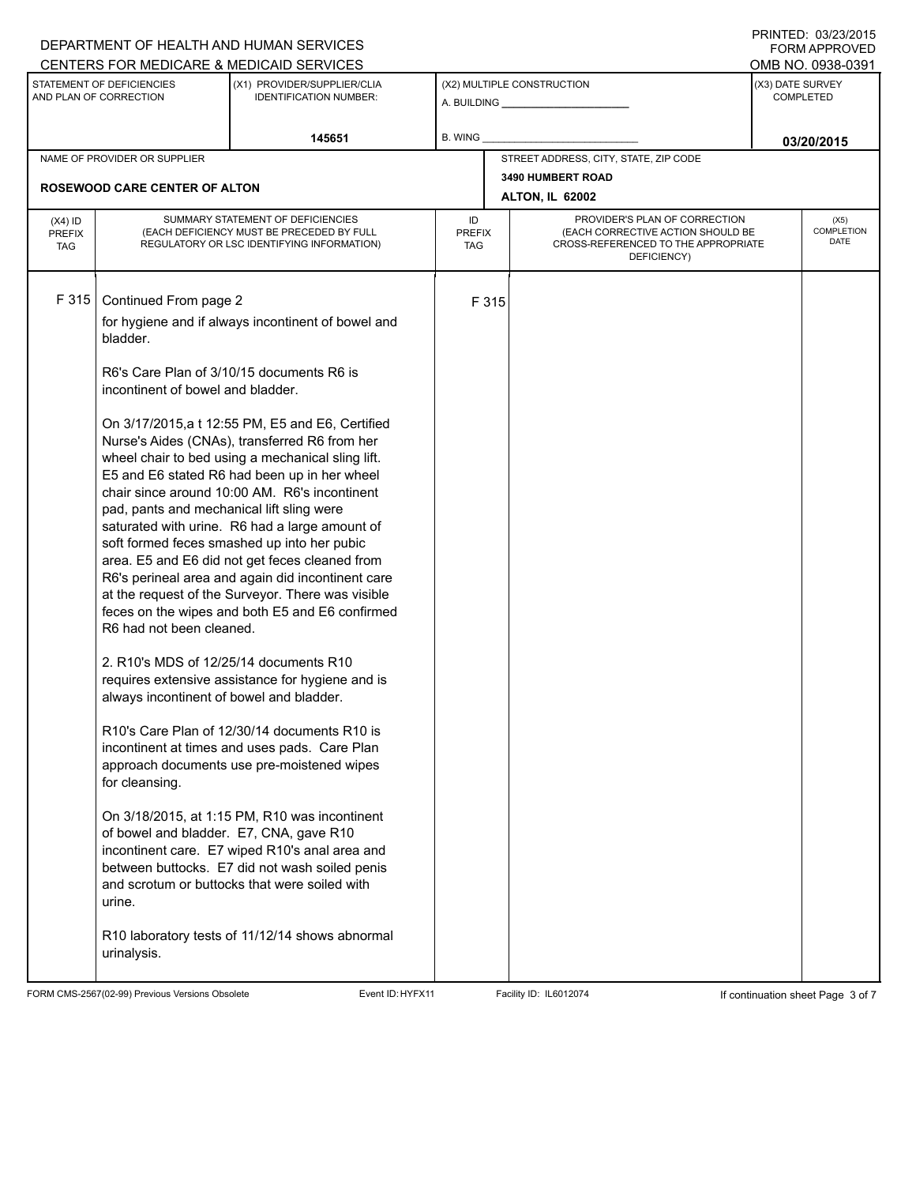|                                          |                                                                                                                                                                                                                                                                                                              | DEPARTMENT OF HEALTH AND HUMAN SERVICES                                                                                                                                                                                                                                                                                                                                                                                                                                                                                                                                                                                                                                                                                                                                                                                                                                                                                                                                                                                                                                             |  |                      |                                                                                                                          |                  | <b>IIIIIILD.</b> ∪ <i>oil</i> oiloid<br>FORM APPROVED |
|------------------------------------------|--------------------------------------------------------------------------------------------------------------------------------------------------------------------------------------------------------------------------------------------------------------------------------------------------------------|-------------------------------------------------------------------------------------------------------------------------------------------------------------------------------------------------------------------------------------------------------------------------------------------------------------------------------------------------------------------------------------------------------------------------------------------------------------------------------------------------------------------------------------------------------------------------------------------------------------------------------------------------------------------------------------------------------------------------------------------------------------------------------------------------------------------------------------------------------------------------------------------------------------------------------------------------------------------------------------------------------------------------------------------------------------------------------------|--|----------------------|--------------------------------------------------------------------------------------------------------------------------|------------------|-------------------------------------------------------|
|                                          | STATEMENT OF DEFICIENCIES                                                                                                                                                                                                                                                                                    | CENTERS FOR MEDICARE & MEDICAID SERVICES<br>(X1) PROVIDER/SUPPLIER/CLIA                                                                                                                                                                                                                                                                                                                                                                                                                                                                                                                                                                                                                                                                                                                                                                                                                                                                                                                                                                                                             |  |                      | (X2) MULTIPLE CONSTRUCTION                                                                                               | (X3) DATE SURVEY | OMB NO. 0938-0391                                     |
| AND PLAN OF CORRECTION                   |                                                                                                                                                                                                                                                                                                              | <b>IDENTIFICATION NUMBER:</b>                                                                                                                                                                                                                                                                                                                                                                                                                                                                                                                                                                                                                                                                                                                                                                                                                                                                                                                                                                                                                                                       |  |                      |                                                                                                                          |                  | <b>COMPLETED</b>                                      |
| 145651                                   |                                                                                                                                                                                                                                                                                                              | B. WING                                                                                                                                                                                                                                                                                                                                                                                                                                                                                                                                                                                                                                                                                                                                                                                                                                                                                                                                                                                                                                                                             |  |                      | 03/20/2015                                                                                                               |                  |                                                       |
| NAME OF PROVIDER OR SUPPLIER             |                                                                                                                                                                                                                                                                                                              |                                                                                                                                                                                                                                                                                                                                                                                                                                                                                                                                                                                                                                                                                                                                                                                                                                                                                                                                                                                                                                                                                     |  |                      | STREET ADDRESS, CITY, STATE, ZIP CODE                                                                                    |                  |                                                       |
|                                          | <b>ROSEWOOD CARE CENTER OF ALTON</b>                                                                                                                                                                                                                                                                         |                                                                                                                                                                                                                                                                                                                                                                                                                                                                                                                                                                                                                                                                                                                                                                                                                                                                                                                                                                                                                                                                                     |  |                      | 3490 HUMBERT ROAD<br>ALTON, IL 62002                                                                                     |                  |                                                       |
| $(X4)$ ID<br><b>PREFIX</b><br><b>TAG</b> | SUMMARY STATEMENT OF DEFICIENCIES<br>(EACH DEFICIENCY MUST BE PRECEDED BY FULL<br>REGULATORY OR LSC IDENTIFYING INFORMATION)                                                                                                                                                                                 |                                                                                                                                                                                                                                                                                                                                                                                                                                                                                                                                                                                                                                                                                                                                                                                                                                                                                                                                                                                                                                                                                     |  | <b>PREFIX</b><br>TAG | PROVIDER'S PLAN OF CORRECTION<br>(EACH CORRECTIVE ACTION SHOULD BE<br>CROSS-REFERENCED TO THE APPROPRIATE<br>DEFICIENCY) |                  | (X5)<br>COMPLETION<br>DATE                            |
| F 315                                    | Continued From page 2<br>bladder.<br>incontinent of bowel and bladder.<br>pad, pants and mechanical lift sling were<br>R6 had not been cleaned.<br>2. R10's MDS of 12/25/14 documents R10<br>always incontinent of bowel and bladder.<br>for cleansing.<br>of bowel and bladder. E7, CNA, gave R10<br>urine. | for hygiene and if always incontinent of bowel and<br>R6's Care Plan of 3/10/15 documents R6 is<br>On 3/17/2015, a t 12:55 PM, E5 and E6, Certified<br>Nurse's Aides (CNAs), transferred R6 from her<br>wheel chair to bed using a mechanical sling lift.<br>E5 and E6 stated R6 had been up in her wheel<br>chair since around 10:00 AM. R6's incontinent<br>saturated with urine. R6 had a large amount of<br>soft formed feces smashed up into her pubic<br>area. E5 and E6 did not get feces cleaned from<br>R6's perineal area and again did incontinent care<br>at the request of the Surveyor. There was visible<br>feces on the wipes and both E5 and E6 confirmed<br>requires extensive assistance for hygiene and is<br>R10's Care Plan of 12/30/14 documents R10 is<br>incontinent at times and uses pads. Care Plan<br>approach documents use pre-moistened wipes<br>On 3/18/2015, at 1:15 PM, R10 was incontinent<br>incontinent care. E7 wiped R10's anal area and<br>between buttocks. E7 did not wash soiled penis<br>and scrotum or buttocks that were soiled with |  | F 315                |                                                                                                                          |                  |                                                       |
|                                          | urinalysis.                                                                                                                                                                                                                                                                                                  | R10 laboratory tests of 11/12/14 shows abnormal                                                                                                                                                                                                                                                                                                                                                                                                                                                                                                                                                                                                                                                                                                                                                                                                                                                                                                                                                                                                                                     |  |                      |                                                                                                                          |                  |                                                       |

FORM CMS-2567(02-99) Previous Versions Obsolete Event ID:HYFX11 Facility ID: IL6012074 If continuation sheet Page 3 of 7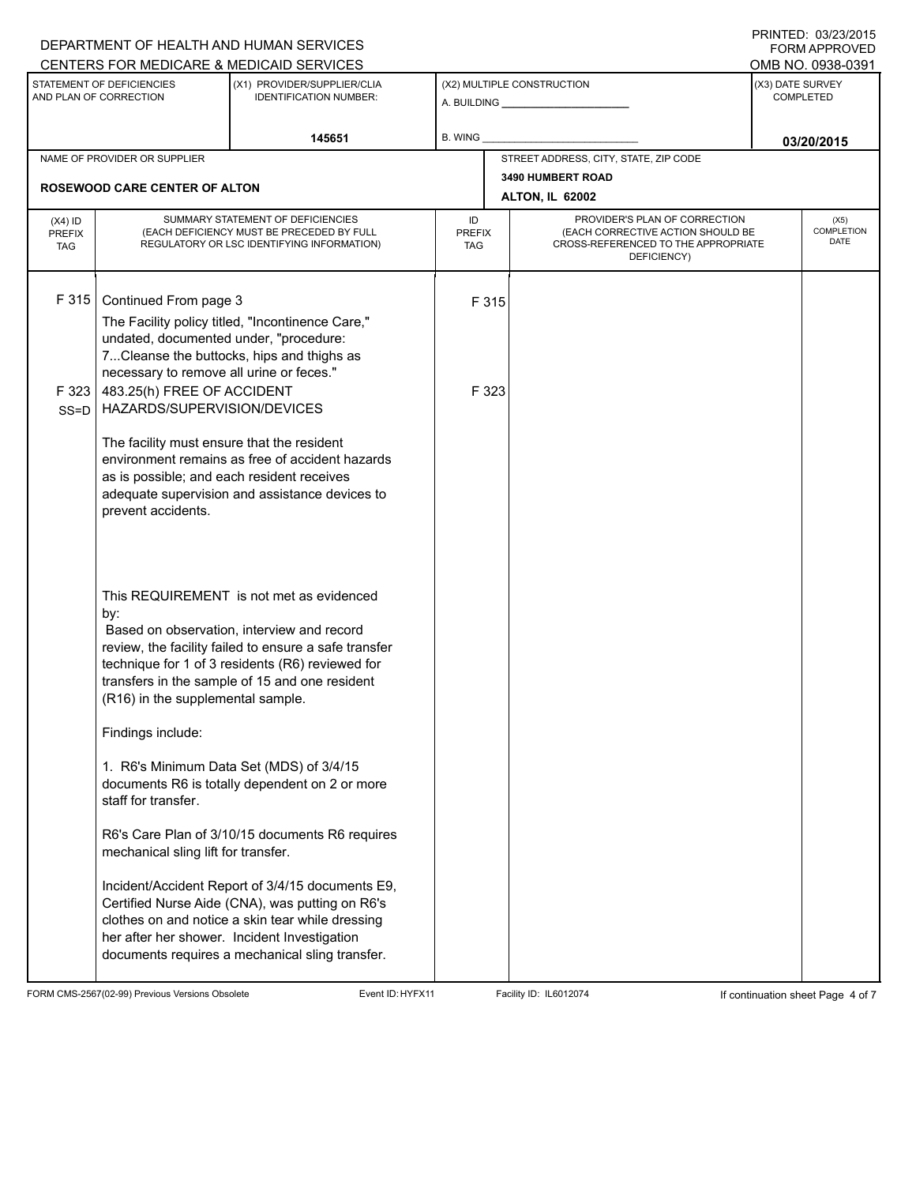|                                          |                                                                                                                                                                                                                                                                                  | DEPARTMENT OF HEALTH AND HUMAN SERVICES<br>CENTERS FOR MEDICARE & MEDICAID SERVICES                                                                                                                                                                                                                                                                                                                                                                                                                                                                               |                                   |                |                                                                          |                                      | FININILU. VJIZJIZVIJ<br><b>FORM APPROVED</b><br>OMB NO. 0938-0391 |  |  |
|------------------------------------------|----------------------------------------------------------------------------------------------------------------------------------------------------------------------------------------------------------------------------------------------------------------------------------|-------------------------------------------------------------------------------------------------------------------------------------------------------------------------------------------------------------------------------------------------------------------------------------------------------------------------------------------------------------------------------------------------------------------------------------------------------------------------------------------------------------------------------------------------------------------|-----------------------------------|----------------|--------------------------------------------------------------------------|--------------------------------------|-------------------------------------------------------------------|--|--|
|                                          | STATEMENT OF DEFICIENCIES<br>AND PLAN OF CORRECTION                                                                                                                                                                                                                              | (X1) PROVIDER/SUPPLIER/CLIA<br><b>IDENTIFICATION NUMBER:</b>                                                                                                                                                                                                                                                                                                                                                                                                                                                                                                      |                                   |                | (X2) MULTIPLE CONSTRUCTION                                               | (X3) DATE SURVEY<br><b>COMPLETED</b> |                                                                   |  |  |
|                                          |                                                                                                                                                                                                                                                                                  | 145651                                                                                                                                                                                                                                                                                                                                                                                                                                                                                                                                                            | <b>B. WING</b>                    |                |                                                                          | 03/20/2015                           |                                                                   |  |  |
|                                          | NAME OF PROVIDER OR SUPPLIER                                                                                                                                                                                                                                                     |                                                                                                                                                                                                                                                                                                                                                                                                                                                                                                                                                                   |                                   |                | STREET ADDRESS, CITY, STATE, ZIP CODE                                    |                                      |                                                                   |  |  |
|                                          | <b>ROSEWOOD CARE CENTER OF ALTON</b>                                                                                                                                                                                                                                             |                                                                                                                                                                                                                                                                                                                                                                                                                                                                                                                                                                   |                                   |                | <b>3490 HUMBERT ROAD</b><br><b>ALTON, IL 62002</b>                       |                                      |                                                                   |  |  |
| $(X4)$ ID<br><b>PREFIX</b><br><b>TAG</b> | SUMMARY STATEMENT OF DEFICIENCIES<br>(EACH DEFICIENCY MUST BE PRECEDED BY FULL<br>REGULATORY OR LSC IDENTIFYING INFORMATION)                                                                                                                                                     |                                                                                                                                                                                                                                                                                                                                                                                                                                                                                                                                                                   | ID<br><b>PREFIX</b><br><b>TAG</b> |                | (EACH CORRECTIVE ACTION SHOULD BE<br>CROSS-REFERENCED TO THE APPROPRIATE | (X5)<br>COMPLETION<br><b>DATE</b>    |                                                                   |  |  |
| F315<br>F 323                            | Continued From page 3<br>The Facility policy titled, "Incontinence Care,"<br>undated, documented under, "procedure:<br>7Cleanse the buttocks, hips and thighs as<br>necessary to remove all urine or feces."                                                                     |                                                                                                                                                                                                                                                                                                                                                                                                                                                                                                                                                                   |                                   | F 315<br>F 323 |                                                                          |                                      |                                                                   |  |  |
| $SS = D$                                 | 483.25(h) FREE OF ACCIDENT<br>HAZARDS/SUPERVISION/DEVICES<br>The facility must ensure that the resident<br>environment remains as free of accident hazards<br>as is possible; and each resident receives<br>adequate supervision and assistance devices to<br>prevent accidents. |                                                                                                                                                                                                                                                                                                                                                                                                                                                                                                                                                                   |                                   |                |                                                                          |                                      |                                                                   |  |  |
|                                          | by:<br>(R16) in the supplemental sample.<br>Findings include:<br>staff for transfer.<br>mechanical sling lift for transfer.                                                                                                                                                      | This REQUIREMENT is not met as evidenced<br>Based on observation, interview and record<br>review, the facility failed to ensure a safe transfer<br>technique for 1 of 3 residents (R6) reviewed for<br>transfers in the sample of 15 and one resident<br>1. R6's Minimum Data Set (MDS) of 3/4/15<br>documents R6 is totally dependent on 2 or more<br>R6's Care Plan of 3/10/15 documents R6 requires<br>Incident/Accident Report of 3/4/15 documents E9,<br>Certified Nurse Aide (CNA), was putting on R6's<br>clothes on and notice a skin tear while dressing |                                   |                |                                                                          |                                      |                                                                   |  |  |
|                                          |                                                                                                                                                                                                                                                                                  | her after her shower. Incident Investigation<br>documents requires a mechanical sling transfer.                                                                                                                                                                                                                                                                                                                                                                                                                                                                   |                                   |                |                                                                          |                                      |                                                                   |  |  |

FORM CMS-2567(02-99) Previous Versions Obsolete Event ID:HYFX11 Facility ID: IL6012074 If continuation sheet Page 4 of 7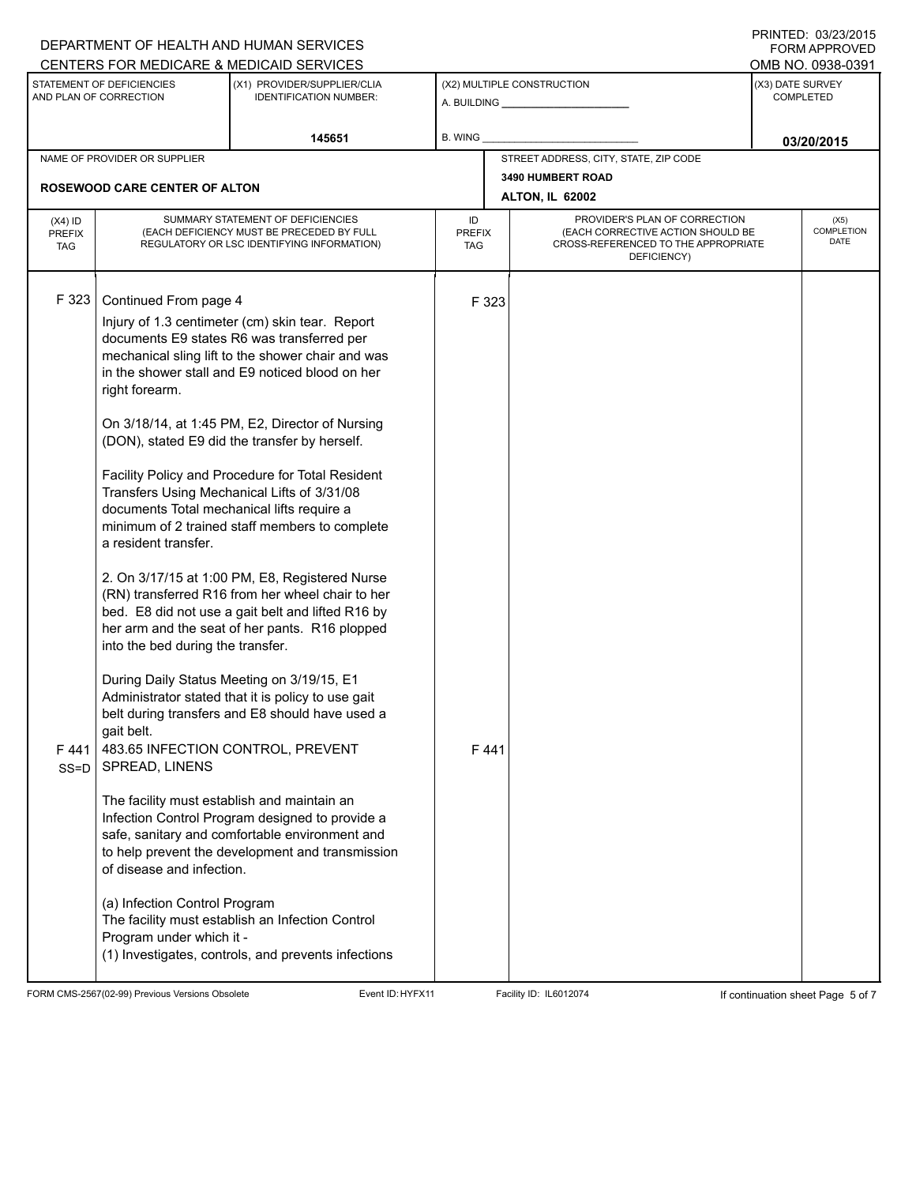| DEPARTMENT OF HEALTH AND HUMAN SERVICES<br>CENTERS FOR MEDICARE & MEDICAID SERVICES |                                                                                                                                                                                                                                                                                                                             |                                                                                                                                                                                                                                                                                                                                                                                                                                                                                                                                                                                                                                                                                                                                                                                                                                                                                                                                                                                                                                                                                      |                            |                                                                                                                          |                                                              |                                      | ,,,,,,,,,,,,,,,,,,,,,,,<br><b>FORM APPROVED</b> |
|-------------------------------------------------------------------------------------|-----------------------------------------------------------------------------------------------------------------------------------------------------------------------------------------------------------------------------------------------------------------------------------------------------------------------------|--------------------------------------------------------------------------------------------------------------------------------------------------------------------------------------------------------------------------------------------------------------------------------------------------------------------------------------------------------------------------------------------------------------------------------------------------------------------------------------------------------------------------------------------------------------------------------------------------------------------------------------------------------------------------------------------------------------------------------------------------------------------------------------------------------------------------------------------------------------------------------------------------------------------------------------------------------------------------------------------------------------------------------------------------------------------------------------|----------------------------|--------------------------------------------------------------------------------------------------------------------------|--------------------------------------------------------------|--------------------------------------|-------------------------------------------------|
|                                                                                     |                                                                                                                                                                                                                                                                                                                             |                                                                                                                                                                                                                                                                                                                                                                                                                                                                                                                                                                                                                                                                                                                                                                                                                                                                                                                                                                                                                                                                                      |                            |                                                                                                                          |                                                              |                                      | OMB NO. 0938-0391                               |
|                                                                                     | STATEMENT OF DEFICIENCIES<br>AND PLAN OF CORRECTION                                                                                                                                                                                                                                                                         | (X1) PROVIDER/SUPPLIER/CLIA<br><b>IDENTIFICATION NUMBER:</b>                                                                                                                                                                                                                                                                                                                                                                                                                                                                                                                                                                                                                                                                                                                                                                                                                                                                                                                                                                                                                         |                            |                                                                                                                          | (X2) MULTIPLE CONSTRUCTION<br>A. BUILDING <b>A.</b> BUILDING | (X3) DATE SURVEY<br><b>COMPLETED</b> |                                                 |
|                                                                                     |                                                                                                                                                                                                                                                                                                                             | 145651                                                                                                                                                                                                                                                                                                                                                                                                                                                                                                                                                                                                                                                                                                                                                                                                                                                                                                                                                                                                                                                                               | B. WING                    |                                                                                                                          |                                                              |                                      | 03/20/2015                                      |
|                                                                                     | NAME OF PROVIDER OR SUPPLIER                                                                                                                                                                                                                                                                                                |                                                                                                                                                                                                                                                                                                                                                                                                                                                                                                                                                                                                                                                                                                                                                                                                                                                                                                                                                                                                                                                                                      |                            |                                                                                                                          | STREET ADDRESS, CITY, STATE, ZIP CODE                        |                                      |                                                 |
|                                                                                     | <b>ROSEWOOD CARE CENTER OF ALTON</b>                                                                                                                                                                                                                                                                                        |                                                                                                                                                                                                                                                                                                                                                                                                                                                                                                                                                                                                                                                                                                                                                                                                                                                                                                                                                                                                                                                                                      |                            |                                                                                                                          | 3490 HUMBERT ROAD                                            |                                      |                                                 |
|                                                                                     |                                                                                                                                                                                                                                                                                                                             |                                                                                                                                                                                                                                                                                                                                                                                                                                                                                                                                                                                                                                                                                                                                                                                                                                                                                                                                                                                                                                                                                      |                            |                                                                                                                          | <b>ALTON, IL 62002</b>                                       |                                      |                                                 |
| $(X4)$ ID<br><b>PREFIX</b><br><b>TAG</b>                                            | SUMMARY STATEMENT OF DEFICIENCIES<br>(EACH DEFICIENCY MUST BE PRECEDED BY FULL<br>REGULATORY OR LSC IDENTIFYING INFORMATION)                                                                                                                                                                                                |                                                                                                                                                                                                                                                                                                                                                                                                                                                                                                                                                                                                                                                                                                                                                                                                                                                                                                                                                                                                                                                                                      | ID<br><b>PREFIX</b><br>TAG | PROVIDER'S PLAN OF CORRECTION<br>(EACH CORRECTIVE ACTION SHOULD BE<br>CROSS-REFERENCED TO THE APPROPRIATE<br>DEFICIENCY) |                                                              |                                      | (X5)<br>COMPLETION<br><b>DATE</b>               |
| F 323<br>F441<br>SS=D                                                               | Continued From page 4<br>right forearm.<br>documents Total mechanical lifts require a<br>a resident transfer.<br>into the bed during the transfer.<br>gait belt.<br>SPREAD, LINENS<br>The facility must establish and maintain an<br>of disease and infection.<br>(a) Infection Control Program<br>Program under which it - | Injury of 1.3 centimeter (cm) skin tear. Report<br>documents E9 states R6 was transferred per<br>mechanical sling lift to the shower chair and was<br>in the shower stall and E9 noticed blood on her<br>On 3/18/14, at 1:45 PM, E2, Director of Nursing<br>(DON), stated E9 did the transfer by herself.<br>Facility Policy and Procedure for Total Resident<br>Transfers Using Mechanical Lifts of 3/31/08<br>minimum of 2 trained staff members to complete<br>2. On 3/17/15 at 1:00 PM, E8, Registered Nurse<br>(RN) transferred R16 from her wheel chair to her<br>bed. E8 did not use a gait belt and lifted R16 by<br>her arm and the seat of her pants. R16 plopped<br>During Daily Status Meeting on 3/19/15, E1<br>Administrator stated that it is policy to use gait<br>belt during transfers and E8 should have used a<br>483.65 INFECTION CONTROL, PREVENT<br>Infection Control Program designed to provide a<br>safe, sanitary and comfortable environment and<br>to help prevent the development and transmission<br>The facility must establish an Infection Control |                            | F 323<br>F441                                                                                                            |                                                              |                                      |                                                 |
|                                                                                     |                                                                                                                                                                                                                                                                                                                             | (1) Investigates, controls, and prevents infections                                                                                                                                                                                                                                                                                                                                                                                                                                                                                                                                                                                                                                                                                                                                                                                                                                                                                                                                                                                                                                  |                            |                                                                                                                          |                                                              |                                      |                                                 |

FORM CMS-2567(02-99) Previous Versions Obsolete Event ID:HYFX11 Facility ID: IL6012074 If continuation sheet Page 5 of 7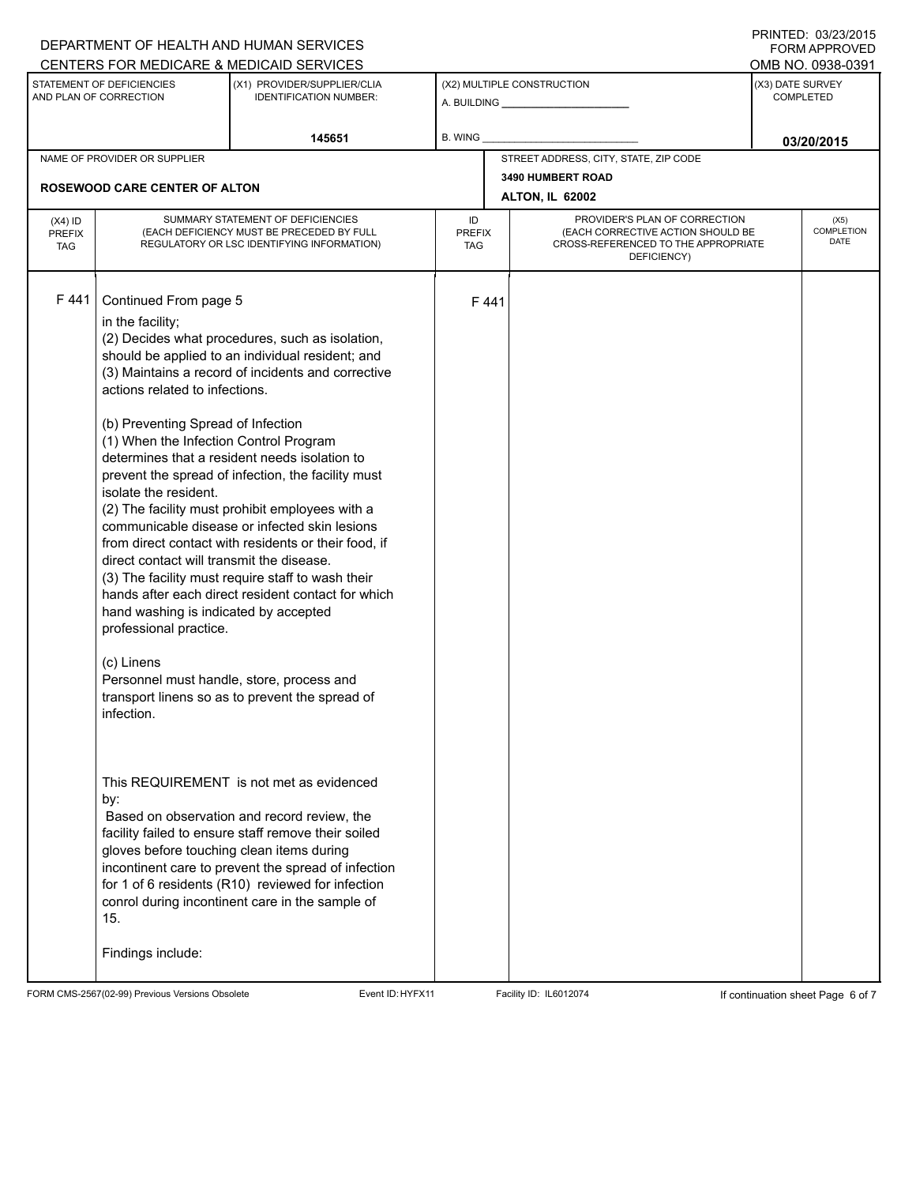|                                                                                                                     |                                                                                                                                                                                                                                                                                                                                                                                                                                                               | DEPARTMENT OF HEALTH AND HUMAN SERVICES<br>CENTERS FOR MEDICARE & MEDICAID SERVICES                                                                                                                                                                                                                                                                                                                                                                                                                                                                                                                                                                                                                                                                                                                                                                                                                         |                |                             |                                                                                                                          |                                      | <b>FININILU. VUZUZUIJ</b><br><b>FORM APPROVED</b><br>OMB NO. 0938-0391 |  |  |  |
|---------------------------------------------------------------------------------------------------------------------|---------------------------------------------------------------------------------------------------------------------------------------------------------------------------------------------------------------------------------------------------------------------------------------------------------------------------------------------------------------------------------------------------------------------------------------------------------------|-------------------------------------------------------------------------------------------------------------------------------------------------------------------------------------------------------------------------------------------------------------------------------------------------------------------------------------------------------------------------------------------------------------------------------------------------------------------------------------------------------------------------------------------------------------------------------------------------------------------------------------------------------------------------------------------------------------------------------------------------------------------------------------------------------------------------------------------------------------------------------------------------------------|----------------|-----------------------------|--------------------------------------------------------------------------------------------------------------------------|--------------------------------------|------------------------------------------------------------------------|--|--|--|
| STATEMENT OF DEFICIENCIES<br>(X1) PROVIDER/SUPPLIER/CLIA<br>AND PLAN OF CORRECTION<br><b>IDENTIFICATION NUMBER:</b> |                                                                                                                                                                                                                                                                                                                                                                                                                                                               |                                                                                                                                                                                                                                                                                                                                                                                                                                                                                                                                                                                                                                                                                                                                                                                                                                                                                                             |                |                             | (X2) MULTIPLE CONSTRUCTION                                                                                               | (X3) DATE SURVEY<br><b>COMPLETED</b> |                                                                        |  |  |  |
|                                                                                                                     |                                                                                                                                                                                                                                                                                                                                                                                                                                                               | 145651                                                                                                                                                                                                                                                                                                                                                                                                                                                                                                                                                                                                                                                                                                                                                                                                                                                                                                      | <b>B. WING</b> |                             |                                                                                                                          |                                      | 03/20/2015                                                             |  |  |  |
| NAME OF PROVIDER OR SUPPLIER                                                                                        |                                                                                                                                                                                                                                                                                                                                                                                                                                                               |                                                                                                                                                                                                                                                                                                                                                                                                                                                                                                                                                                                                                                                                                                                                                                                                                                                                                                             |                |                             | STREET ADDRESS, CITY, STATE, ZIP CODE                                                                                    |                                      |                                                                        |  |  |  |
|                                                                                                                     | <b>ROSEWOOD CARE CENTER OF ALTON</b>                                                                                                                                                                                                                                                                                                                                                                                                                          |                                                                                                                                                                                                                                                                                                                                                                                                                                                                                                                                                                                                                                                                                                                                                                                                                                                                                                             |                |                             | <b>3490 HUMBERT ROAD</b><br><b>ALTON, IL 62002</b>                                                                       |                                      |                                                                        |  |  |  |
| $(X4)$ ID<br><b>PREFIX</b><br><b>TAG</b>                                                                            | SUMMARY STATEMENT OF DEFICIENCIES<br>(EACH DEFICIENCY MUST BE PRECEDED BY FULL<br>REGULATORY OR LSC IDENTIFYING INFORMATION)                                                                                                                                                                                                                                                                                                                                  |                                                                                                                                                                                                                                                                                                                                                                                                                                                                                                                                                                                                                                                                                                                                                                                                                                                                                                             |                | <b>PREFIX</b><br><b>TAG</b> | PROVIDER'S PLAN OF CORRECTION<br>(EACH CORRECTIVE ACTION SHOULD BE<br>CROSS-REFERENCED TO THE APPROPRIATE<br>DEFICIENCY) | (X5)<br>COMPLETION<br><b>DATE</b>    |                                                                        |  |  |  |
| F 441                                                                                                               | Continued From page 5<br>in the facility;<br>actions related to infections.<br>(b) Preventing Spread of Infection<br>(1) When the Infection Control Program<br>isolate the resident.<br>direct contact will transmit the disease.<br>hand washing is indicated by accepted<br>professional practice.<br>(c) Linens<br>Personnel must handle, store, process and<br>infection.<br>by:<br>gloves before touching clean items during<br>15.<br>Findings include: | (2) Decides what procedures, such as isolation,<br>should be applied to an individual resident; and<br>(3) Maintains a record of incidents and corrective<br>determines that a resident needs isolation to<br>prevent the spread of infection, the facility must<br>(2) The facility must prohibit employees with a<br>communicable disease or infected skin lesions<br>from direct contact with residents or their food, if<br>(3) The facility must require staff to wash their<br>hands after each direct resident contact for which<br>transport linens so as to prevent the spread of<br>This REQUIREMENT is not met as evidenced<br>Based on observation and record review, the<br>facility failed to ensure staff remove their soiled<br>incontinent care to prevent the spread of infection<br>for 1 of 6 residents (R10) reviewed for infection<br>conrol during incontinent care in the sample of |                | F441                        |                                                                                                                          |                                      |                                                                        |  |  |  |

FORM CMS-2567(02-99) Previous Versions Obsolete Event ID:HYFX11 Facility ID: IL6012074 If continuation sheet Page 6 of 7